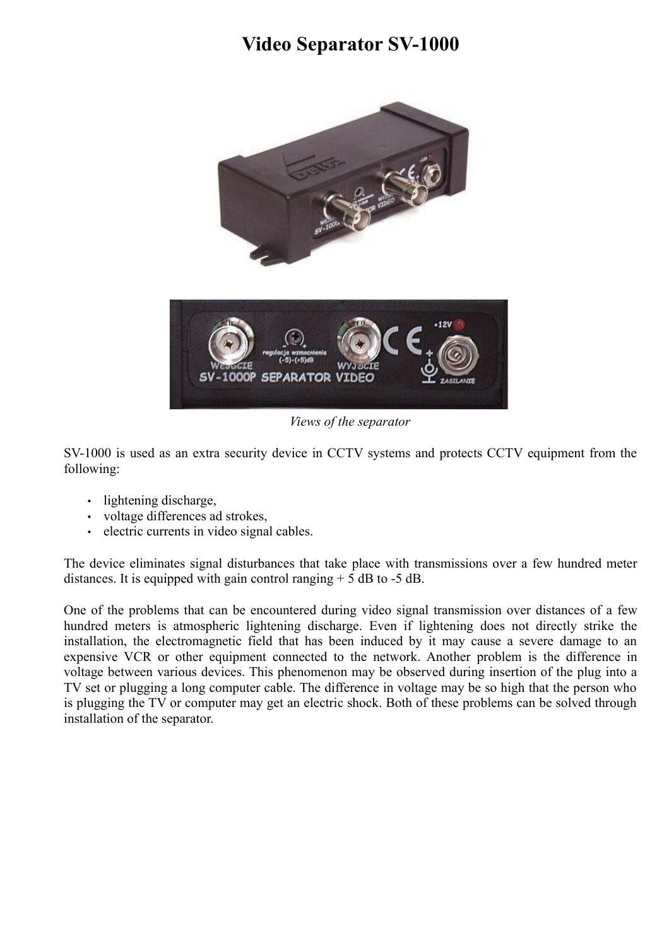## **Video Separator SV-1000**



*Views of the separator*

SV-1000 is used as an extra security device in CCTV systems and protects CCTV equipment from the following:

- lightening discharge,
- voltage differences ad strokes,
- electric currents in video signal cables.

The device eliminates signal disturbances that take place with transmissions over a few hundred meter distances. It is equipped with gain control ranging  $+ 5$  dB to  $-5$  dB.

One of the problems that can be encountered during video signal transmission over distances of a few hundred meters is atmospheric lightening discharge. Even if lightening does not directly strike the installation, the electromagnetic field that has been induced by it may cause a severe damage to an expensive VCR or other equipment connected to the network. Another problem is the difference in voltage between various devices. This phenomenon may be observed during insertion of the plug into a TV set or plugging a long computer cable. The difference in voltage may be so high that the person who is plugging the TV or computer may get an electric shock. Both of these problems can be solved through installation of the separator.